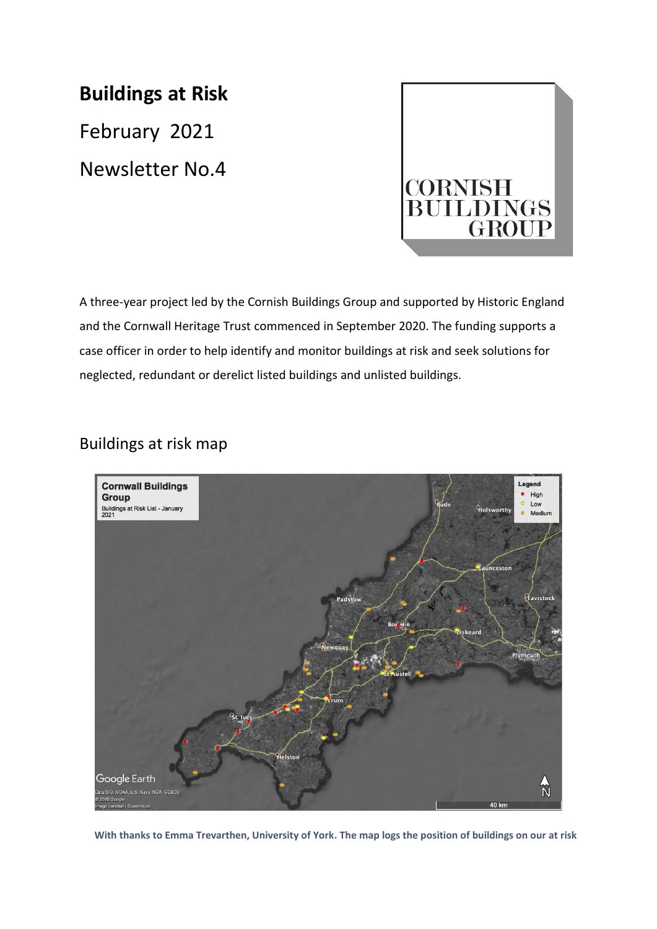# **Buildings at Risk**

February 2021 Newsletter No.4



A three-year project led by the Cornish Buildings Group and supported by Historic England and the Cornwall Heritage Trust commenced in September 2020. The funding supports a case officer in order to help identify and monitor buildings at risk and seek solutions for neglected, redundant or derelict listed buildings and unlisted buildings.

# Buildings at risk map



 **With thanks to Emma Trevarthen, University of York. The map logs the position of buildings on our at risk**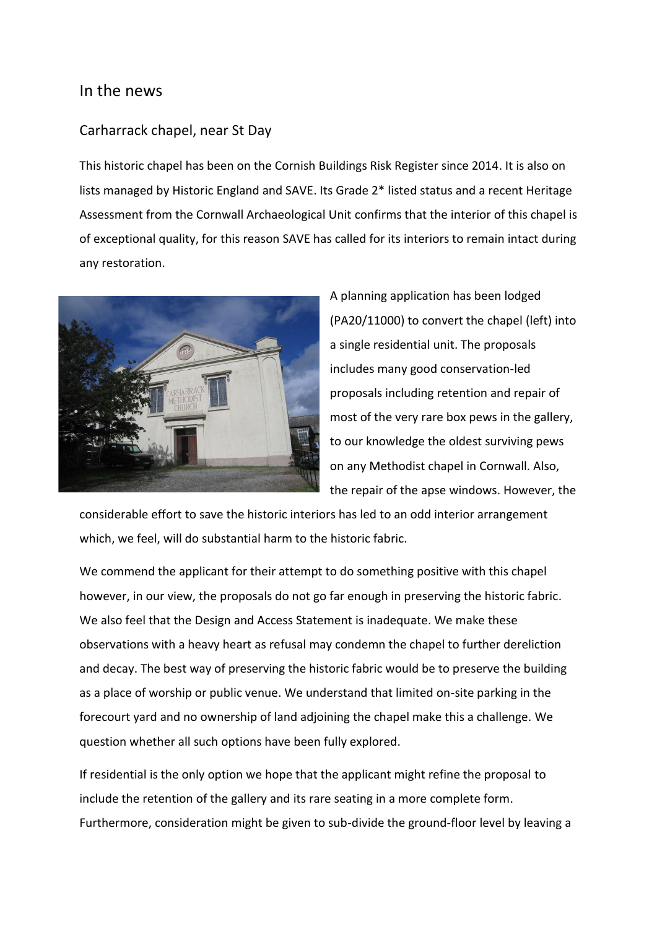#### In the news

#### Carharrack chapel, near St Day

This historic chapel has been on the Cornish Buildings Risk Register since 2014. It is also on lists managed by Historic England and SAVE. Its Grade 2\* listed status and a recent Heritage Assessment from the Cornwall Archaeological Unit confirms that the interior of this chapel is of exceptional quality, for this reason SAVE has called for its interiors to remain intact during any restoration.



A planning application has been lodged (PA20/11000) to convert the chapel (left) into a single residential unit. The proposals includes many good conservation-led proposals including retention and repair of most of the very rare box pews in the gallery, to our knowledge the oldest surviving pews on any Methodist chapel in Cornwall. Also, the repair of the apse windows. However, the

considerable effort to save the historic interiors has led to an odd interior arrangement which, we feel, will do substantial harm to the historic fabric.

We commend the applicant for their attempt to do something positive with this chapel however, in our view, the proposals do not go far enough in preserving the historic fabric. We also feel that the Design and Access Statement is inadequate. We make these observations with a heavy heart as refusal may condemn the chapel to further dereliction and decay. The best way of preserving the historic fabric would be to preserve the building as a place of worship or public venue. We understand that limited on-site parking in the forecourt yard and no ownership of land adjoining the chapel make this a challenge. We question whether all such options have been fully explored.

If residential is the only option we hope that the applicant might refine the proposal to include the retention of the gallery and its rare seating in a more complete form. Furthermore, consideration might be given to sub-divide the ground-floor level by leaving a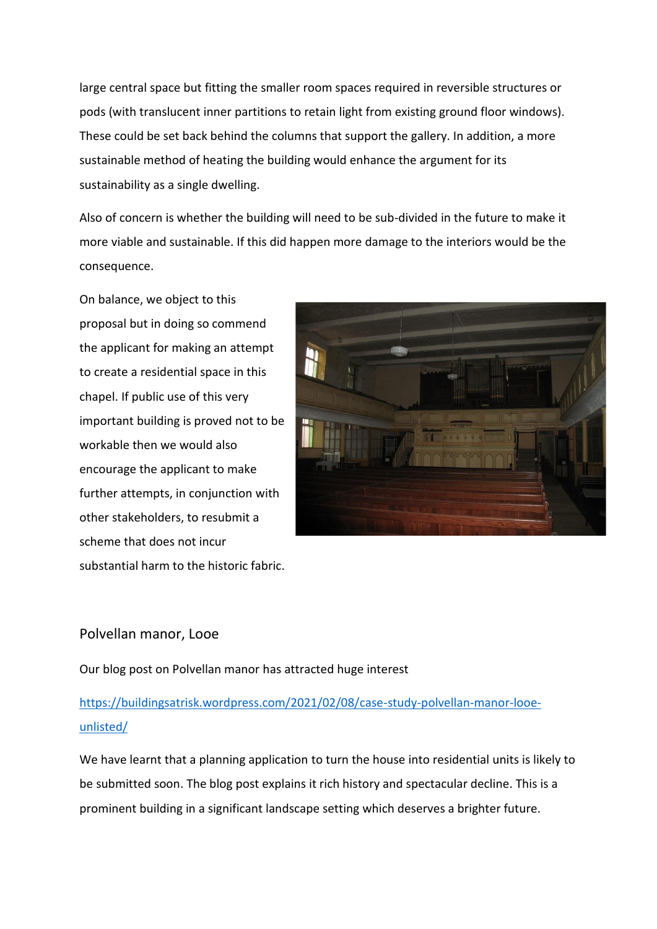large central space but fitting the smaller room spaces required in reversible structures or pods (with translucent inner partitions to retain light from existing ground floor windows). These could be set back behind the columns that support the gallery. In addition, a more sustainable method of heating the building would enhance the argument for its sustainability as a single dwelling.

Also of concern is whether the building will need to be sub-divided in the future to make it more viable and sustainable. If this did happen more damage to the interiors would be the consequence.

On balance, we object to this proposal but in doing so commend the applicant for making an attempt to create a residential space in this chapel. If public use of this very important building is proved not to be workable then we would also encourage the applicant to make further attempts, in conjunction with other stakeholders, to resubmit a scheme that does not incur substantial harm to the historic fabric.



#### Polvellan manor, Looe

Our blog post on Polvellan manor has attracted huge interest

# [https://buildingsatrisk.wordpress.com/2021/02/08/case-study-polvellan-manor-looe](https://buildingsatrisk.wordpress.com/2021/02/08/case-study-polvellan-manor-looe-unlisted/)[unlisted/](https://buildingsatrisk.wordpress.com/2021/02/08/case-study-polvellan-manor-looe-unlisted/)

We have learnt that a planning application to turn the house into residential units is likely to be submitted soon. The blog post explains it rich history and spectacular decline. This is a prominent building in a significant landscape setting which deserves a brighter future.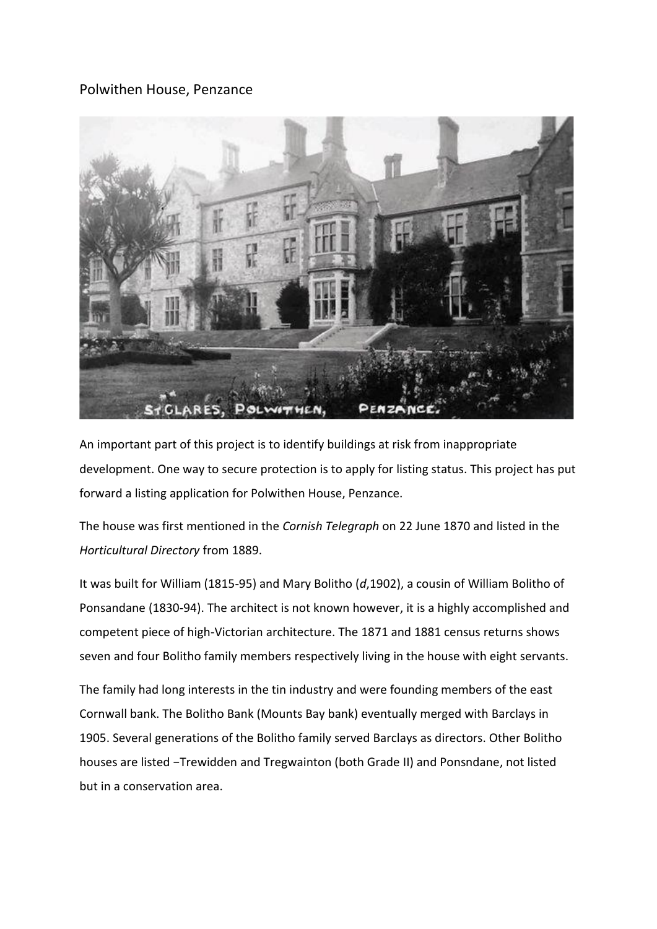### Polwithen House, Penzance



An important part of this project is to identify buildings at risk from inappropriate development. One way to secure protection is to apply for listing status. This project has put forward a listing application for Polwithen House, Penzance.

The house was first mentioned in the *Cornish Telegraph* on 22 June 1870 and listed in the *Horticultural Directory* from 1889.

It was built for William (1815-95) and Mary Bolitho (*d*,1902), a cousin of William Bolitho of Ponsandane (1830-94). The architect is not known however, it is a highly accomplished and competent piece of high-Victorian architecture. The 1871 and 1881 census returns shows seven and four Bolitho family members respectively living in the house with eight servants.

The family had long interests in the tin industry and were founding members of the east Cornwall bank. The Bolitho Bank (Mounts Bay bank) eventually merged with Barclays in 1905. Several generations of the Bolitho family served Barclays as directors. Other Bolitho houses are listed −Trewidden and Tregwainton (both Grade II) and Ponsndane, not listed but in a conservation area.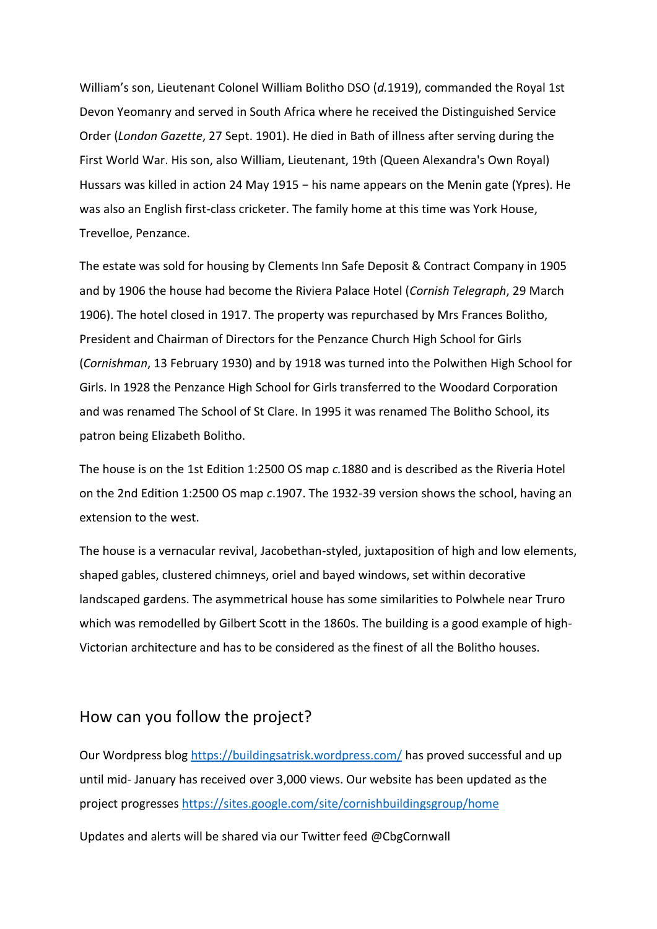William's son, Lieutenant Colonel William Bolitho DSO (*d.*1919), commanded the Royal 1st Devon Yeomanry and served in South Africa where he received the Distinguished Service Order (*London Gazette*, 27 Sept. 1901). He died in Bath of illness after serving during the First World War. His son, also William, Lieutenant, 19th (Queen Alexandra's Own Royal) Hussars was killed in action 24 May 1915 – his name appears on the Menin gate (Ypres). He was also an English first-class cricketer. The family home at this time was York House, Trevelloe, Penzance.

The estate was sold for housing by Clements Inn Safe Deposit & Contract Company in 1905 and by 1906 the house had become the Riviera Palace Hotel (*Cornish Telegraph*, 29 March 1906). The hotel closed in 1917. The property was repurchased by Mrs Frances Bolitho, President and Chairman of Directors for the Penzance Church High School for Girls (*Cornishman*, 13 February 1930) and by 1918 was turned into the Polwithen High School for Girls. In 1928 the Penzance High School for Girls transferred to the Woodard Corporation and was renamed The School of St Clare. In 1995 it was renamed The Bolitho School, its patron being Elizabeth Bolitho.

The house is on the 1st Edition 1:2500 OS map *c.*1880 and is described as the Riveria Hotel on the 2nd Edition 1:2500 OS map *c*.1907. The 1932-39 version shows the school, having an extension to the west.

The house is a vernacular revival, Jacobethan-styled, juxtaposition of high and low elements, shaped gables, clustered chimneys, oriel and bayed windows, set within decorative landscaped gardens. The asymmetrical house has some similarities to Polwhele near Truro which was remodelled by Gilbert Scott in the 1860s. The building is a good example of high-Victorian architecture and has to be considered as the finest of all the Bolitho houses.

### How can you follow the project?

Our Wordpress blog<https://buildingsatrisk.wordpress.com/> has proved successful and up until mid- January has received over 3,000 views. Our website has been updated as the project progresses <https://sites.google.com/site/cornishbuildingsgroup/home>

Updates and alerts will be shared via our Twitter feed @CbgCornwall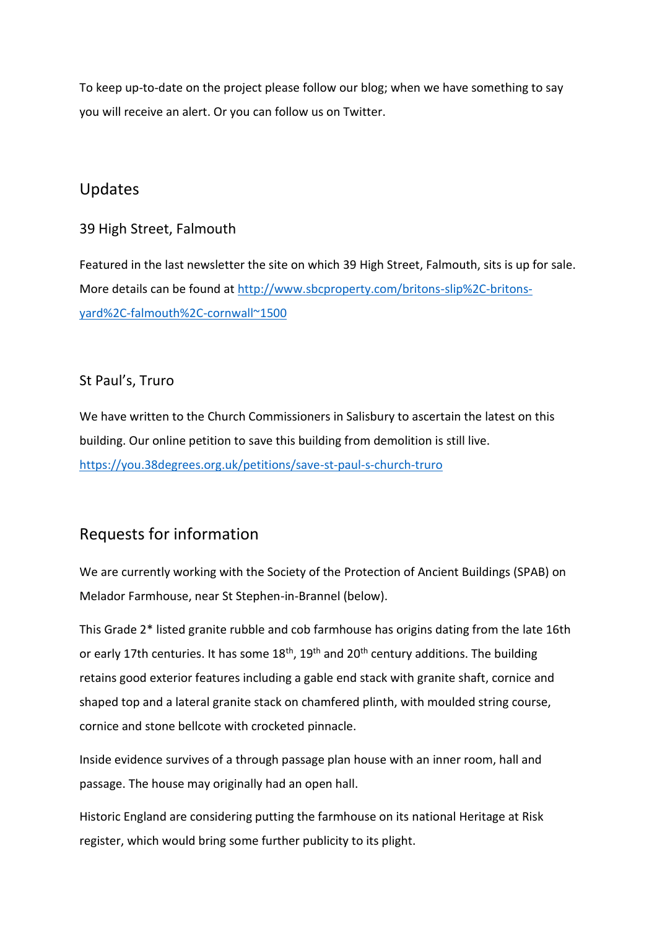To keep up-to-date on the project please follow our blog; when we have something to say you will receive an alert. Or you can follow us on Twitter.

# Updates

### 39 High Street, Falmouth

Featured in the last newsletter the site on which 39 High Street, Falmouth, sits is up for sale. More details can be found at [http://www.sbcproperty.com/britons-slip%2C-britons](http://www.sbcproperty.com/britons-slip%2C-britons-yard%2C-falmouth%2C-cornwall~1500)[yard%2C-falmouth%2C-cornwall~1500](http://www.sbcproperty.com/britons-slip%2C-britons-yard%2C-falmouth%2C-cornwall~1500)

### St Paul's, Truro

We have written to the Church Commissioners in Salisbury to ascertain the latest on this building. Our online petition to save this building from demolition is still live. <https://you.38degrees.org.uk/petitions/save-st-paul-s-church-truro>

# Requests for information

We are currently working with the Society of the Protection of Ancient Buildings (SPAB) on Melador Farmhouse, near St Stephen-in-Brannel (below).

This Grade 2\* listed granite rubble and cob farmhouse has origins dating from the late 16th or early 17th centuries. It has some  $18<sup>th</sup>$ , 19<sup>th</sup> and 20<sup>th</sup> century additions. The building retains good exterior features including a gable end stack with granite shaft, cornice and shaped top and a lateral granite stack on chamfered plinth, with moulded string course, cornice and stone bellcote with crocketed pinnacle.

Inside evidence survives of a through passage plan house with an inner room, hall and passage. The house may originally had an open hall.

Historic England are considering putting the farmhouse on its national Heritage at Risk register, which would bring some further publicity to its plight.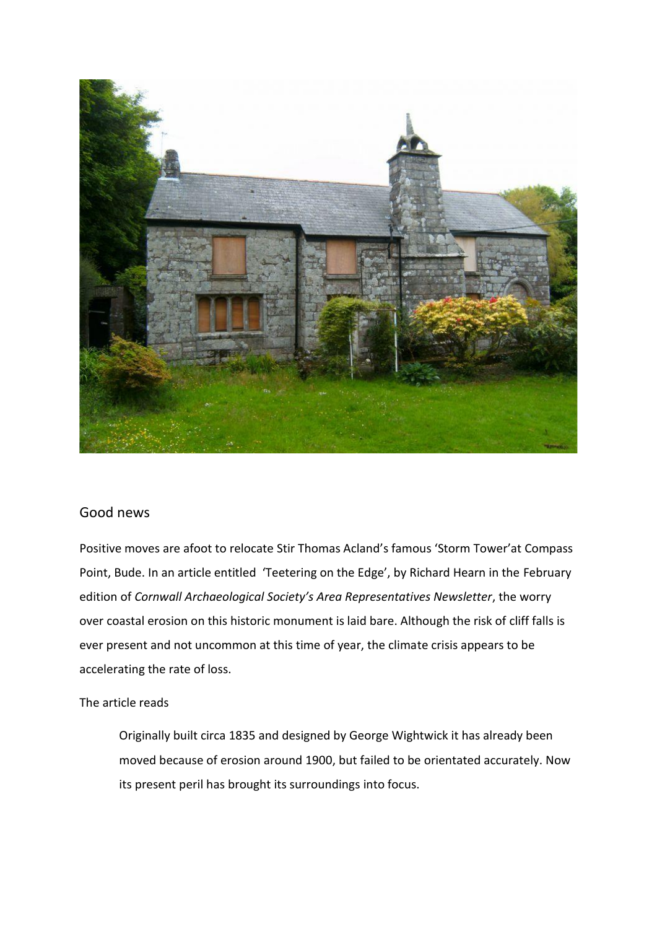

#### Good news

Positive moves are afoot to relocate Stir Thomas Acland's famous 'Storm Tower'at Compass Point, Bude. In an article entitled 'Teetering on the Edge', by Richard Hearn in the February edition of *Cornwall Archaeological Society's Area Representatives Newsletter*, the worry over coastal erosion on this historic monument is laid bare. Although the risk of cliff falls is ever present and not uncommon at this time of year, the climate crisis appears to be accelerating the rate of loss.

#### The article reads

Originally built circa 1835 and designed by George Wightwick it has already been moved because of erosion around 1900, but failed to be orientated accurately. Now its present peril has brought its surroundings into focus.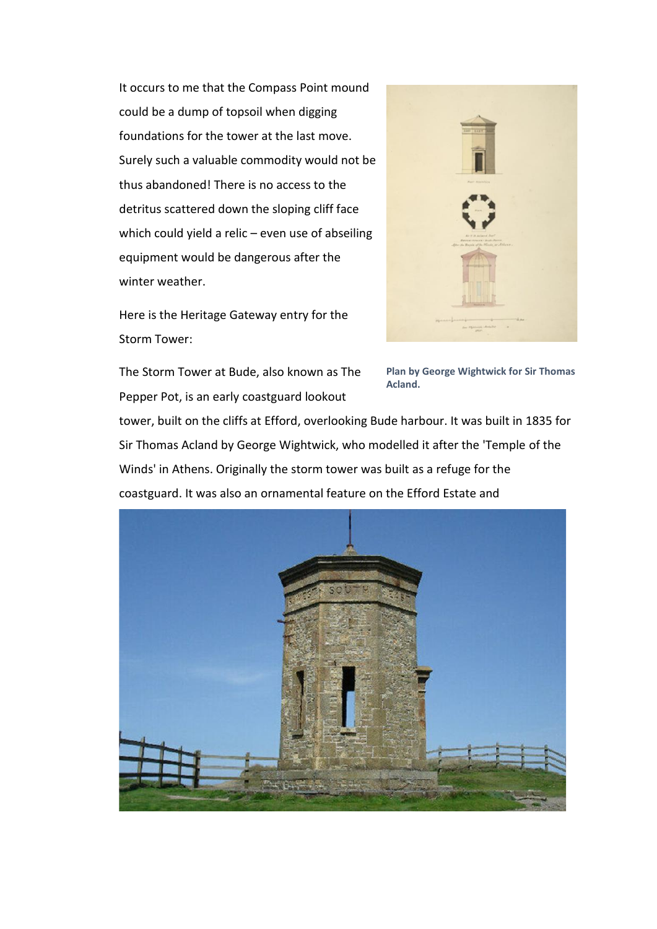It occurs to me that the Compass Point mound could be a dump of topsoil when digging foundations for the tower at the last move. Surely such a valuable commodity would not be thus abandoned! There is no access to the detritus scattered down the sloping cliff face which could yield a relic – even use of abseiling equipment would be dangerous after the winter weather.

Here is the Heritage Gateway entry for the Storm Tower:



The Storm Tower at Bude, also known as The Pepper Pot, is an early coastguard lookout

**Plan by George Wightwick for Sir Thomas Acland.** 

tower, built on the cliffs at Efford, overlooking Bude harbour. It was built in 1835 for Sir Thomas Acland by George Wightwick, who modelled it after the 'Temple of the Winds' in Athens. Originally the storm tower was built as a refuge for the coastguard. It was also an ornamental feature on the Efford Estate and

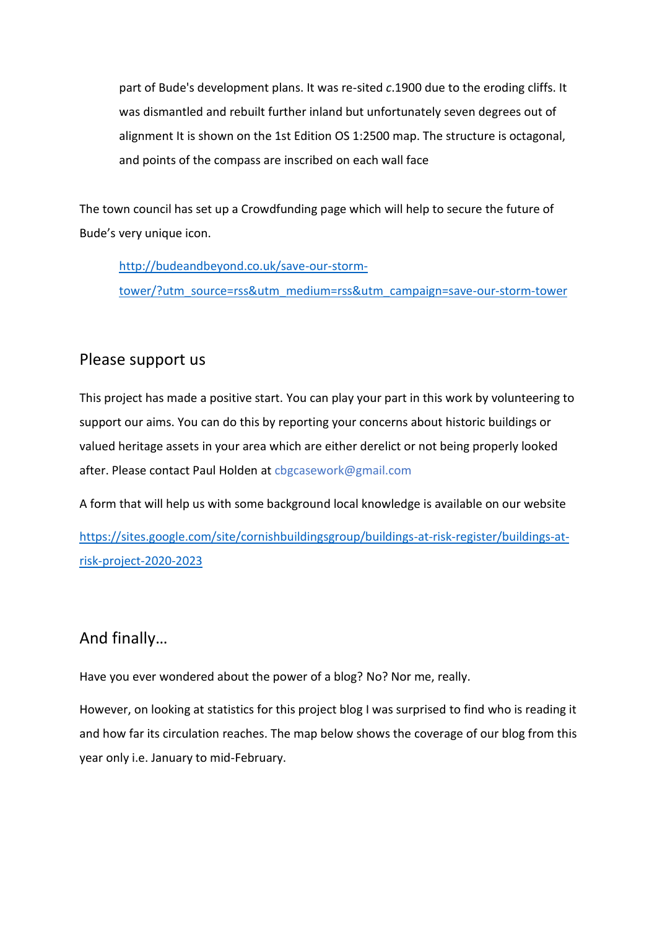part of Bude's development plans. It was re-sited *c*.1900 due to the eroding cliffs. It was dismantled and rebuilt further inland but unfortunately seven degrees out of alignment It is shown on the 1st Edition OS 1:2500 map. The structure is octagonal, and points of the compass are inscribed on each wall face

The town council has set up a Crowdfunding page which will help to secure the future of Bude's very unique icon.

[http://budeandbeyond.co.uk/save-our-storm](http://budeandbeyond.co.uk/save-our-storm-tower/?utm_source=rss&utm_medium=rss&utm_campaign=save-our-storm-tower)[tower/?utm\\_source=rss&utm\\_medium=rss&utm\\_campaign=save-our-storm-tower](http://budeandbeyond.co.uk/save-our-storm-tower/?utm_source=rss&utm_medium=rss&utm_campaign=save-our-storm-tower)

## Please support us

This project has made a positive start. You can play your part in this work by volunteering to support our aims. You can do this by reporting your concerns about historic buildings or valued heritage assets in your area which are either derelict or not being properly looked after. Please contact Paul Holden at cbgcasework@gmail.com

A form that will help us with some background local knowledge is available on our website

[https://sites.google.com/site/cornishbuildingsgroup/buildings-at-risk-register/buildings-at](https://sites.google.com/site/cornishbuildingsgroup/buildings-at-risk-register/buildings-at-risk-project-2020-2023)[risk-project-2020-2023](https://sites.google.com/site/cornishbuildingsgroup/buildings-at-risk-register/buildings-at-risk-project-2020-2023)

# And finally…

Have you ever wondered about the power of a blog? No? Nor me, really.

However, on looking at statistics for this project blog I was surprised to find who is reading it and how far its circulation reaches. The map below shows the coverage of our blog from this year only i.e. January to mid-February.